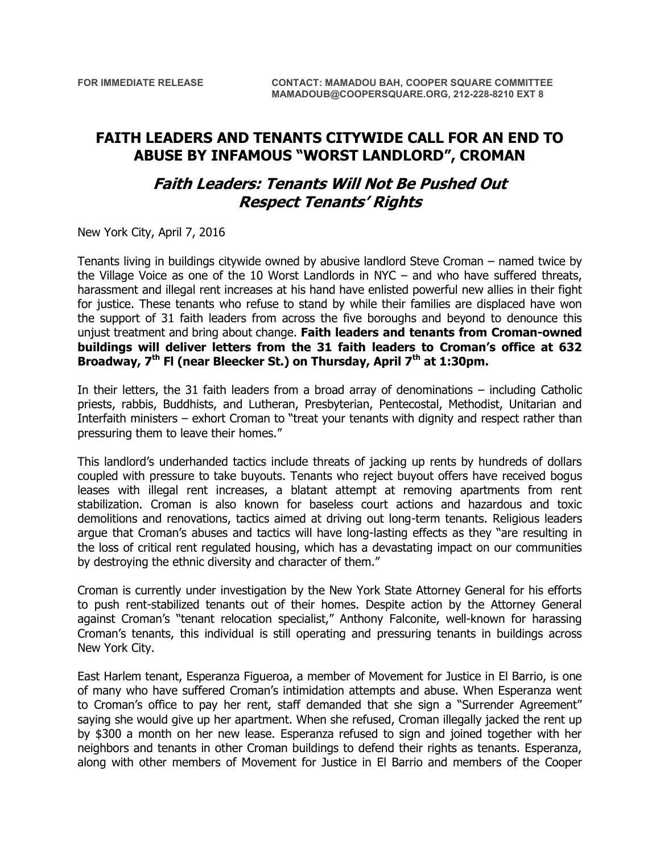## **FAITH LEADERS AND TENANTS CITYWIDE CALL FOR AN END TO ABUSE BY INFAMOUS "WORST LANDLORD", CROMAN**

## **Faith Leaders: Tenants Will Not Be Pushed Out Respect Tenants' Rights**

New York City, April 7, 2016

Tenants living in buildings citywide owned by abusive landlord Steve Croman – named twice by the Village Voice as one of the 10 Worst Landlords in NYC – and who have suffered threats, harassment and illegal rent increases at his hand have enlisted powerful new allies in their fight for justice. These tenants who refuse to stand by while their families are displaced have won the support of 31 faith leaders from across the five boroughs and beyond to denounce this unjust treatment and bring about change. **Faith leaders and tenants from Croman-owned buildings will deliver letters from the 31 faith leaders to Croman's office at 632 Broadway, 7th Fl (near Bleecker St.) on Thursday, April 7th at 1:30pm.**

In their letters, the 31 faith leaders from a broad array of denominations – including Catholic priests, rabbis, Buddhists, and Lutheran, Presbyterian, Pentecostal, Methodist, Unitarian and Interfaith ministers – exhort Croman to "treat your tenants with dignity and respect rather than pressuring them to leave their homes."

This landlord's underhanded tactics include threats of jacking up rents by hundreds of dollars coupled with pressure to take buyouts. Tenants who reject buyout offers have received bogus leases with illegal rent increases, a blatant attempt at removing apartments from rent stabilization. Croman is also known for baseless court actions and hazardous and toxic demolitions and renovations, tactics aimed at driving out long-term tenants. Religious leaders argue that Croman's abuses and tactics will have long-lasting effects as they "are resulting in the loss of critical rent regulated housing, which has a devastating impact on our communities by destroying the ethnic diversity and character of them."

Croman is currently under investigation by the New York State Attorney General for his efforts to push rent-stabilized tenants out of their homes. Despite action by the Attorney General against Croman's "tenant relocation specialist," Anthony Falconite, well-known for harassing Croman's tenants, this individual is still operating and pressuring tenants in buildings across New York City.

East Harlem tenant, Esperanza Figueroa, a member of Movement for Justice in El Barrio, is one of many who have suffered Croman's intimidation attempts and abuse. When Esperanza went to Croman's office to pay her rent, staff demanded that she sign a "Surrender Agreement" saying she would give up her apartment. When she refused, Croman illegally jacked the rent up by \$300 a month on her new lease. Esperanza refused to sign and joined together with her neighbors and tenants in other Croman buildings to defend their rights as tenants. Esperanza, along with other members of Movement for Justice in El Barrio and members of the Cooper